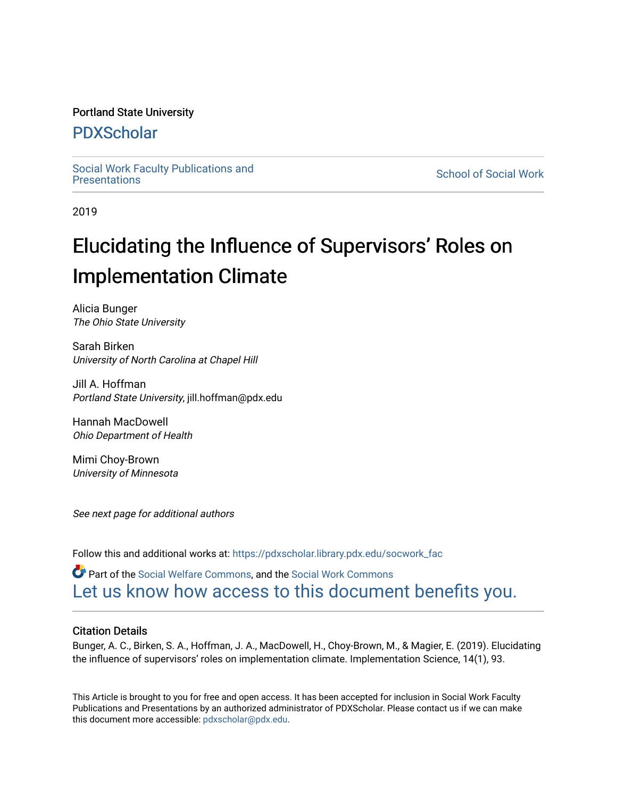# Portland State University

# [PDXScholar](https://pdxscholar.library.pdx.edu/)

Social Work Faculty Publications and<br>Presentations

**School of Social Work** 

2019

# Elucidating the Influence of Supervisors' Roles on Implementation Climate

Alicia Bunger The Ohio State University

Sarah Birken University of North Carolina at Chapel Hill

Jill A. Hoffman Portland State University, jill.hoffman@pdx.edu

Hannah MacDowell Ohio Department of Health

Mimi Choy-Brown University of Minnesota

See next page for additional authors

Follow this and additional works at: [https://pdxscholar.library.pdx.edu/socwork\\_fac](https://pdxscholar.library.pdx.edu/socwork_fac?utm_source=pdxscholar.library.pdx.edu%2Fsocwork_fac%2F316&utm_medium=PDF&utm_campaign=PDFCoverPages) 

**P** Part of the [Social Welfare Commons](http://network.bepress.com/hgg/discipline/401?utm_source=pdxscholar.library.pdx.edu%2Fsocwork_fac%2F316&utm_medium=PDF&utm_campaign=PDFCoverPages), and the Social Work Commons [Let us know how access to this document benefits you.](http://library.pdx.edu/services/pdxscholar-services/pdxscholar-feedback/?ref=https://pdxscholar.library.pdx.edu/socwork_fac/316) 

# Citation Details

Bunger, A. C., Birken, S. A., Hoffman, J. A., MacDowell, H., Choy-Brown, M., & Magier, E. (2019). Elucidating the influence of supervisors' roles on implementation climate. Implementation Science, 14(1), 93.

This Article is brought to you for free and open access. It has been accepted for inclusion in Social Work Faculty Publications and Presentations by an authorized administrator of PDXScholar. Please contact us if we can make this document more accessible: [pdxscholar@pdx.edu.](mailto:pdxscholar@pdx.edu)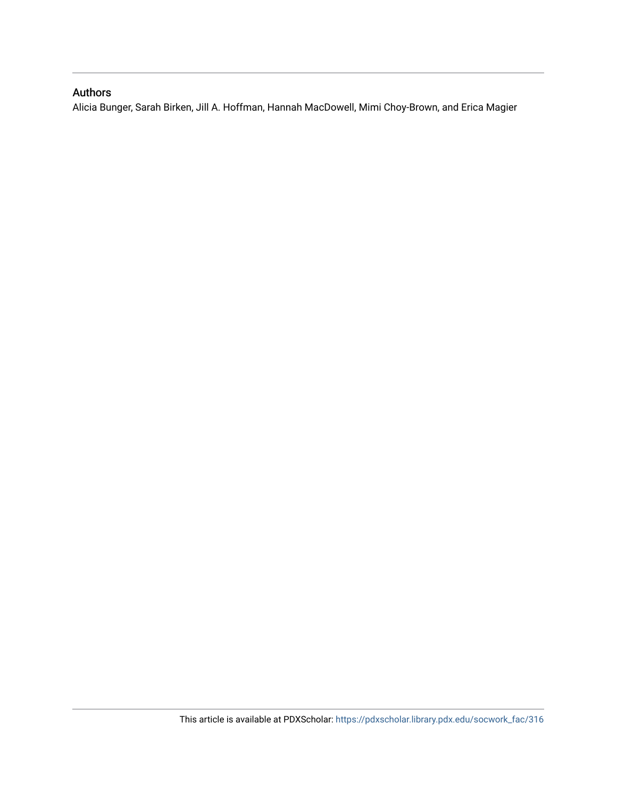# Authors

Alicia Bunger, Sarah Birken, Jill A. Hoffman, Hannah MacDowell, Mimi Choy-Brown, and Erica Magier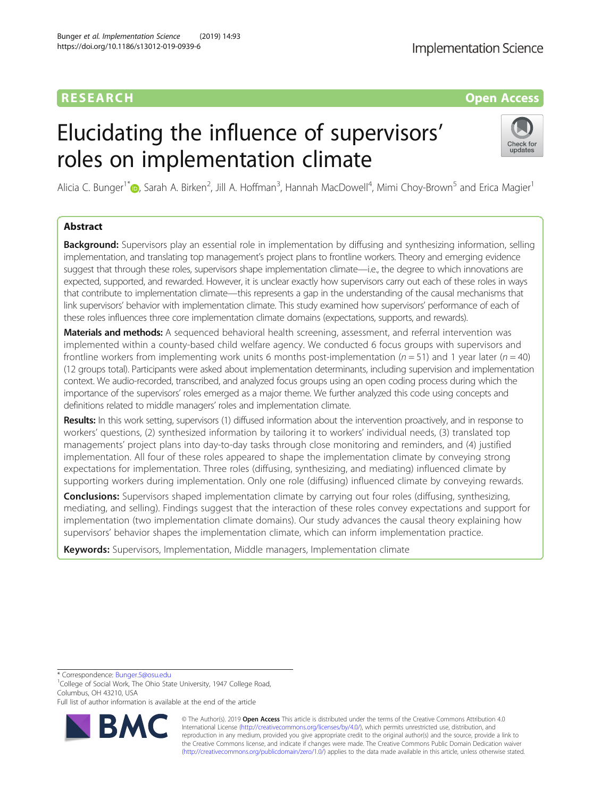# RESEARCH **RESEARCH CONSUMING THE CONSUMING THE CONSUMING THE CONSUMING TEAM Open Access**

# Elucidating the influence of supervisors' roles on implementation climate



Alicia C. Bunger<sup>1[\\*](http://orcid.org/0000-0002-6407-5111)</sup>�, Sarah A. Birken<sup>2</sup>, Jill A. Hoffman<sup>3</sup>, Hannah MacDowell<sup>4</sup>, Mimi Choy-Brown<sup>5</sup> and Erica Magier<sup>1</sup>

# Abstract

**Background:** Supervisors play an essential role in implementation by diffusing and synthesizing information, selling implementation, and translating top management's project plans to frontline workers. Theory and emerging evidence suggest that through these roles, supervisors shape implementation climate—i.e., the degree to which innovations are expected, supported, and rewarded. However, it is unclear exactly how supervisors carry out each of these roles in ways that contribute to implementation climate—this represents a gap in the understanding of the causal mechanisms that link supervisors' behavior with implementation climate. This study examined how supervisors' performance of each of these roles influences three core implementation climate domains (expectations, supports, and rewards).

**Materials and methods:** A sequenced behavioral health screening, assessment, and referral intervention was implemented within a county-based child welfare agency. We conducted 6 focus groups with supervisors and frontline workers from implementing work units 6 months post-implementation ( $n = 51$ ) and 1 year later ( $n = 40$ ) (12 groups total). Participants were asked about implementation determinants, including supervision and implementation context. We audio-recorded, transcribed, and analyzed focus groups using an open coding process during which the importance of the supervisors' roles emerged as a major theme. We further analyzed this code using concepts and definitions related to middle managers' roles and implementation climate.

Results: In this work setting, supervisors (1) diffused information about the intervention proactively, and in response to workers' questions, (2) synthesized information by tailoring it to workers' individual needs, (3) translated top managements' project plans into day-to-day tasks through close monitoring and reminders, and (4) justified implementation. All four of these roles appeared to shape the implementation climate by conveying strong expectations for implementation. Three roles (diffusing, synthesizing, and mediating) influenced climate by supporting workers during implementation. Only one role (diffusing) influenced climate by conveying rewards.

**Conclusions:** Supervisors shaped implementation climate by carrying out four roles (diffusing, synthesizing, mediating, and selling). Findings suggest that the interaction of these roles convey expectations and support for implementation (two implementation climate domains). Our study advances the causal theory explaining how supervisors' behavior shapes the implementation climate, which can inform implementation practice.

Keywords: Supervisors, Implementation, Middle managers, Implementation climate

\* Correspondence: [Bunger.5@osu.edu](mailto:Bunger.5@osu.edu) <sup>1</sup>

Full list of author information is available at the end of the article



© The Author(s). 2019 **Open Access** This article is distributed under the terms of the Creative Commons Attribution 4.0 International License [\(http://creativecommons.org/licenses/by/4.0/](http://creativecommons.org/licenses/by/4.0/)), which permits unrestricted use, distribution, and reproduction in any medium, provided you give appropriate credit to the original author(s) and the source, provide a link to the Creative Commons license, and indicate if changes were made. The Creative Commons Public Domain Dedication waiver [\(http://creativecommons.org/publicdomain/zero/1.0/](http://creativecommons.org/publicdomain/zero/1.0/)) applies to the data made available in this article, unless otherwise stated.

<sup>&</sup>lt;sup>1</sup>College of Social Work, The Ohio State University, 1947 College Road, Columbus, OH 43210, USA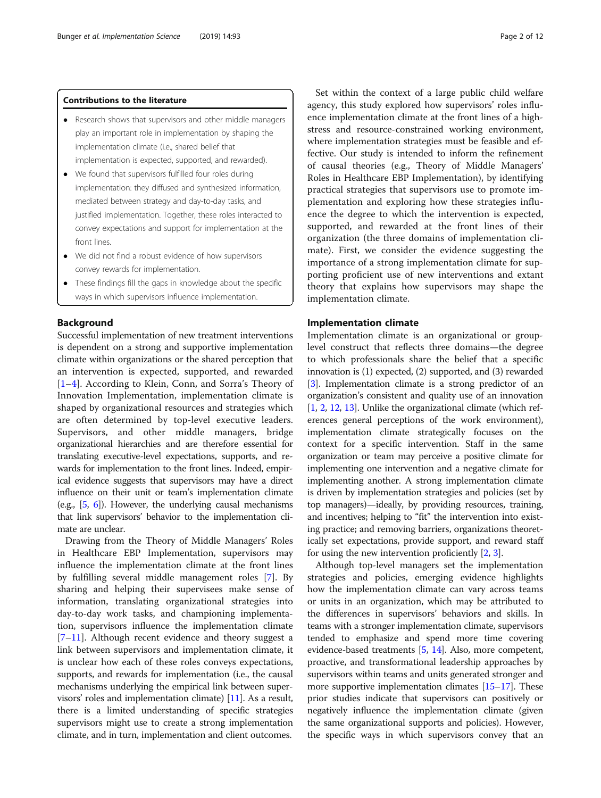#### Contributions to the literature

- Research shows that supervisors and other middle managers play an important role in implementation by shaping the implementation climate (i.e., shared belief that implementation is expected, supported, and rewarded).
- We found that supervisors fulfilled four roles during implementation: they diffused and synthesized information, mediated between strategy and day-to-day tasks, and justified implementation. Together, these roles interacted to convey expectations and support for implementation at the front lines.
- We did not find a robust evidence of how supervisors convey rewards for implementation.
- These findings fill the gaps in knowledge about the specific ways in which supervisors influence implementation.

#### Background

Successful implementation of new treatment interventions is dependent on a strong and supportive implementation climate within organizations or the shared perception that an intervention is expected, supported, and rewarded [[1](#page-11-0)–[4\]](#page-12-0). According to Klein, Conn, and Sorra's Theory of Innovation Implementation, implementation climate is shaped by organizational resources and strategies which are often determined by top-level executive leaders. Supervisors, and other middle managers, bridge organizational hierarchies and are therefore essential for translating executive-level expectations, supports, and rewards for implementation to the front lines. Indeed, empirical evidence suggests that supervisors may have a direct influence on their unit or team's implementation climate (e.g.,  $[5, 6]$  $[5, 6]$  $[5, 6]$  $[5, 6]$  $[5, 6]$ ). However, the underlying causal mechanisms that link supervisors' behavior to the implementation climate are unclear.

Drawing from the Theory of Middle Managers' Roles in Healthcare EBP Implementation, supervisors may influence the implementation climate at the front lines by fulfilling several middle management roles [[7](#page-12-0)]. By sharing and helping their supervisees make sense of information, translating organizational strategies into day-to-day work tasks, and championing implementation, supervisors influence the implementation climate [[7](#page-12-0)–[11\]](#page-12-0). Although recent evidence and theory suggest a link between supervisors and implementation climate, it is unclear how each of these roles conveys expectations, supports, and rewards for implementation (i.e., the causal mechanisms underlying the empirical link between supervisors' roles and implementation climate) [\[11\]](#page-12-0). As a result, there is a limited understanding of specific strategies supervisors might use to create a strong implementation climate, and in turn, implementation and client outcomes.

Set within the context of a large public child welfare agency, this study explored how supervisors' roles influence implementation climate at the front lines of a highstress and resource-constrained working environment, where implementation strategies must be feasible and effective. Our study is intended to inform the refinement of causal theories (e.g., Theory of Middle Managers' Roles in Healthcare EBP Implementation), by identifying practical strategies that supervisors use to promote implementation and exploring how these strategies influence the degree to which the intervention is expected, supported, and rewarded at the front lines of their organization (the three domains of implementation climate). First, we consider the evidence suggesting the importance of a strong implementation climate for supporting proficient use of new interventions and extant theory that explains how supervisors may shape the implementation climate.

#### Implementation climate

Implementation climate is an organizational or grouplevel construct that reflects three domains—the degree to which professionals share the belief that a specific innovation is (1) expected, (2) supported, and (3) rewarded [[3\]](#page-12-0). Implementation climate is a strong predictor of an organization's consistent and quality use of an innovation [[1,](#page-11-0) [2](#page-11-0), [12,](#page-12-0) [13](#page-12-0)]. Unlike the organizational climate (which references general perceptions of the work environment), implementation climate strategically focuses on the context for a specific intervention. Staff in the same organization or team may perceive a positive climate for implementing one intervention and a negative climate for implementing another. A strong implementation climate is driven by implementation strategies and policies (set by top managers)—ideally, by providing resources, training, and incentives; helping to "fit" the intervention into existing practice; and removing barriers, organizations theoretically set expectations, provide support, and reward staff for using the new intervention proficiently [\[2](#page-11-0), [3\]](#page-12-0).

Although top-level managers set the implementation strategies and policies, emerging evidence highlights how the implementation climate can vary across teams or units in an organization, which may be attributed to the differences in supervisors' behaviors and skills. In teams with a stronger implementation climate, supervisors tended to emphasize and spend more time covering evidence-based treatments [[5,](#page-12-0) [14\]](#page-12-0). Also, more competent, proactive, and transformational leadership approaches by supervisors within teams and units generated stronger and more supportive implementation climates [[15](#page-12-0)–[17\]](#page-12-0). These prior studies indicate that supervisors can positively or negatively influence the implementation climate (given the same organizational supports and policies). However, the specific ways in which supervisors convey that an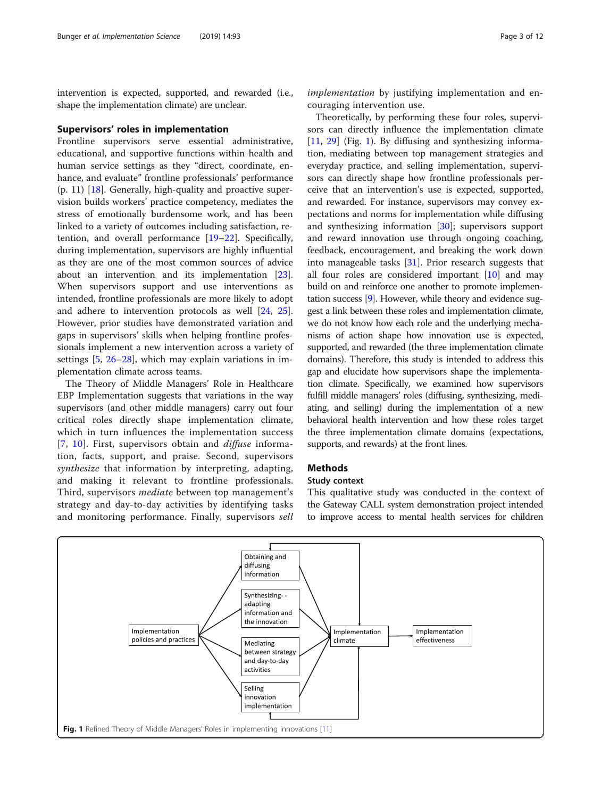intervention is expected, supported, and rewarded (i.e., shape the implementation climate) are unclear.

#### Supervisors' roles in implementation

Frontline supervisors serve essential administrative, educational, and supportive functions within health and human service settings as they "direct, coordinate, enhance, and evaluate" frontline professionals' performance (p. 11) [\[18\]](#page-12-0). Generally, high-quality and proactive supervision builds workers' practice competency, mediates the stress of emotionally burdensome work, and has been linked to a variety of outcomes including satisfaction, retention, and overall performance [[19](#page-12-0)–[22](#page-12-0)]. Specifically, during implementation, supervisors are highly influential as they are one of the most common sources of advice about an intervention and its implementation [\[23](#page-12-0)]. When supervisors support and use interventions as intended, frontline professionals are more likely to adopt and adhere to intervention protocols as well [\[24](#page-12-0), [25](#page-12-0)]. However, prior studies have demonstrated variation and gaps in supervisors' skills when helping frontline professionals implement a new intervention across a variety of settings [[5](#page-12-0), [26](#page-12-0)–[28\]](#page-12-0), which may explain variations in implementation climate across teams.

The Theory of Middle Managers' Role in Healthcare EBP Implementation suggests that variations in the way supervisors (and other middle managers) carry out four critical roles directly shape implementation climate, which in turn influences the implementation success [[7](#page-12-0), [10](#page-12-0)]. First, supervisors obtain and *diffuse* information, facts, support, and praise. Second, supervisors synthesize that information by interpreting, adapting, and making it relevant to frontline professionals. Third, supervisors mediate between top management's strategy and day-to-day activities by identifying tasks and monitoring performance. Finally, supervisors sell

implementation by justifying implementation and encouraging intervention use.

Theoretically, by performing these four roles, supervisors can directly influence the implementation climate [[11,](#page-12-0) [29\]](#page-12-0) (Fig. 1). By diffusing and synthesizing information, mediating between top management strategies and everyday practice, and selling implementation, supervisors can directly shape how frontline professionals perceive that an intervention's use is expected, supported, and rewarded. For instance, supervisors may convey expectations and norms for implementation while diffusing and synthesizing information [\[30\]](#page-12-0); supervisors support and reward innovation use through ongoing coaching, feedback, encouragement, and breaking the work down into manageable tasks  $[31]$  $[31]$ . Prior research suggests that all four roles are considered important [\[10\]](#page-12-0) and may build on and reinforce one another to promote implementation success [\[9](#page-12-0)]. However, while theory and evidence suggest a link between these roles and implementation climate, we do not know how each role and the underlying mechanisms of action shape how innovation use is expected, supported, and rewarded (the three implementation climate domains). Therefore, this study is intended to address this gap and elucidate how supervisors shape the implementation climate. Specifically, we examined how supervisors fulfill middle managers' roles (diffusing, synthesizing, mediating, and selling) during the implementation of a new behavioral health intervention and how these roles target the three implementation climate domains (expectations, supports, and rewards) at the front lines.

### Methods

### Study context

This qualitative study was conducted in the context of the Gateway CALL system demonstration project intended to improve access to mental health services for children

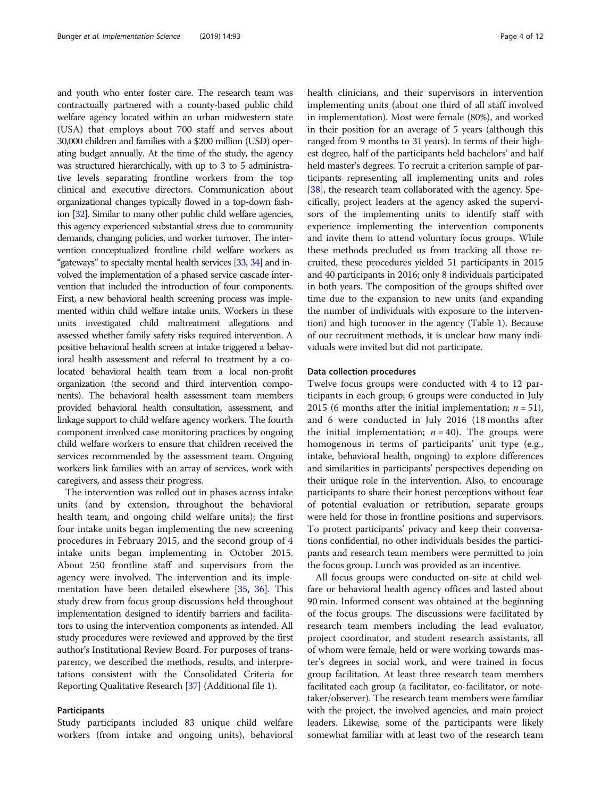and youth who enter foster care. The research team was contractually partnered with a county-based public child welfare agency located within an urban midwestern state (USA) that employs about 700 staff and serves about 30,000 children and families with a \$200 million (USD) operating budget annually. At the time of the study, the agency was structured hierarchically, with up to 3 to 5 administrative levels separating frontline workers from the top clinical and executive directors. Communication about organizational changes typically flowed in a top-down fashion [[32\]](#page-12-0). Similar to many other public child welfare agencies, this agency experienced substantial stress due to community demands, changing policies, and worker turnover. The intervention conceptualized frontline child welfare workers as "gateways" to specialty mental health services [\[33,](#page-12-0) [34](#page-12-0)] and involved the implementation of a phased service cascade intervention that included the introduction of four components. First, a new behavioral health screening process was implemented within child welfare intake units. Workers in these units investigated child maltreatment allegations and assessed whether family safety risks required intervention. A positive behavioral health screen at intake triggered a behavioral health assessment and referral to treatment by a colocated behavioral health team from a local non-profit organization (the second and third intervention components). The behavioral health assessment team members provided behavioral health consultation, assessment, and linkage support to child welfare agency workers. The fourth component involved case monitoring practices by ongoing child welfare workers to ensure that children received the services recommended by the assessment team. Ongoing workers link families with an array of services, work with caregivers, and assess their progress.

The intervention was rolled out in phases across intake units (and by extension, throughout the behavioral health team, and ongoing child welfare units); the first four intake units began implementing the new screening procedures in February 2015, and the second group of 4 intake units began implementing in October 2015. About 250 frontline staff and supervisors from the agency were involved. The intervention and its implementation have been detailed elsewhere [[35](#page-12-0), [36](#page-12-0)]. This study drew from focus group discussions held throughout implementation designed to identify barriers and facilitators to using the intervention components as intended. All study procedures were reviewed and approved by the first author's Institutional Review Board. For purposes of transparency, we described the methods, results, and interpretations consistent with the Consolidated Criteria for Reporting Qualitative Research [[37](#page-12-0)] (Additional file [1](#page-11-0)).

#### Participants

Study participants included 83 unique child welfare workers (from intake and ongoing units), behavioral health clinicians, and their supervisors in intervention implementing units (about one third of all staff involved in implementation). Most were female (80%), and worked in their position for an average of 5 years (although this ranged from 9 months to 31 years). In terms of their highest degree, half of the participants held bachelors' and half held master's degrees. To recruit a criterion sample of participants representing all implementing units and roles [[38](#page-12-0)], the research team collaborated with the agency. Specifically, project leaders at the agency asked the supervisors of the implementing units to identify staff with experience implementing the intervention components and invite them to attend voluntary focus groups. While these methods precluded us from tracking all those recruited, these procedures yielded 51 participants in 2015 and 40 participants in 2016; only 8 individuals participated in both years. The composition of the groups shifted over time due to the expansion to new units (and expanding the number of individuals with exposure to the intervention) and high turnover in the agency (Table [1\)](#page-6-0). Because of our recruitment methods, it is unclear how many individuals were invited but did not participate.

#### Data collection procedures

Twelve focus groups were conducted with 4 to 12 participants in each group; 6 groups were conducted in July 2015 (6 months after the initial implementation;  $n = 51$ ), and 6 were conducted in July 2016 (18 months after the initial implementation;  $n = 40$ ). The groups were homogenous in terms of participants' unit type (e.g., intake, behavioral health, ongoing) to explore differences and similarities in participants' perspectives depending on their unique role in the intervention. Also, to encourage participants to share their honest perceptions without fear of potential evaluation or retribution, separate groups were held for those in frontline positions and supervisors. To protect participants' privacy and keep their conversations confidential, no other individuals besides the participants and research team members were permitted to join the focus group. Lunch was provided as an incentive.

All focus groups were conducted on-site at child welfare or behavioral health agency offices and lasted about 90 min. Informed consent was obtained at the beginning of the focus groups. The discussions were facilitated by research team members including the lead evaluator, project coordinator, and student research assistants, all of whom were female, held or were working towards master's degrees in social work, and were trained in focus group facilitation. At least three research team members facilitated each group (a facilitator, co-facilitator, or notetaker/observer). The research team members were familiar with the project, the involved agencies, and main project leaders. Likewise, some of the participants were likely somewhat familiar with at least two of the research team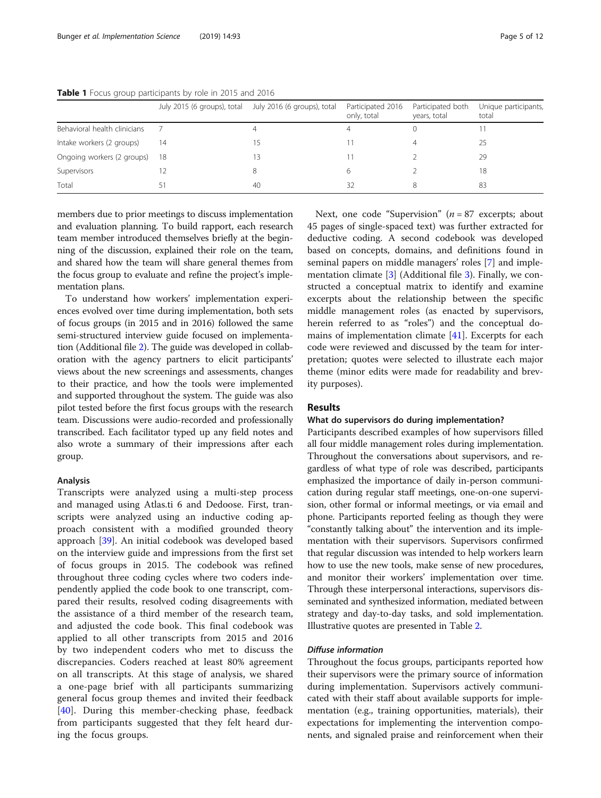|                              | July 2015 (6 groups), total | July 2016 (6 groups), total | Participated 2016<br>only, total | Participated both<br>years, total | Unique participants,<br>total |
|------------------------------|-----------------------------|-----------------------------|----------------------------------|-----------------------------------|-------------------------------|
| Behavioral health clinicians |                             | 4                           | 4                                |                                   |                               |
| Intake workers (2 groups)    | 14                          |                             |                                  |                                   | 25                            |
| Ongoing workers (2 groups)   | -18                         |                             |                                  |                                   | 29                            |
| Supervisors                  |                             | 8                           |                                  |                                   | 18                            |
| Total                        | 51                          | 40                          | 32                               | 8                                 | 83                            |

<span id="page-6-0"></span>Table 1 Focus group participants by role in 2015 and 2016

members due to prior meetings to discuss implementation and evaluation planning. To build rapport, each research team member introduced themselves briefly at the beginning of the discussion, explained their role on the team, and shared how the team will share general themes from the focus group to evaluate and refine the project's implementation plans.

To understand how workers' implementation experiences evolved over time during implementation, both sets of focus groups (in 2015 and in 2016) followed the same semi-structured interview guide focused on implementation (Additional file [2](#page-11-0)). The guide was developed in collaboration with the agency partners to elicit participants' views about the new screenings and assessments, changes to their practice, and how the tools were implemented and supported throughout the system. The guide was also pilot tested before the first focus groups with the research team. Discussions were audio-recorded and professionally transcribed. Each facilitator typed up any field notes and also wrote a summary of their impressions after each group.

#### Analysis

Transcripts were analyzed using a multi-step process and managed using Atlas.ti 6 and Dedoose. First, transcripts were analyzed using an inductive coding approach consistent with a modified grounded theory approach [\[39\]](#page-12-0). An initial codebook was developed based on the interview guide and impressions from the first set of focus groups in 2015. The codebook was refined throughout three coding cycles where two coders independently applied the code book to one transcript, compared their results, resolved coding disagreements with the assistance of a third member of the research team, and adjusted the code book. This final codebook was applied to all other transcripts from 2015 and 2016 by two independent coders who met to discuss the discrepancies. Coders reached at least 80% agreement on all transcripts. At this stage of analysis, we shared a one-page brief with all participants summarizing general focus group themes and invited their feedback [[40\]](#page-12-0). During this member-checking phase, feedback from participants suggested that they felt heard during the focus groups.

Next, one code "Supervision" ( $n = 87$  excerpts; about 45 pages of single-spaced text) was further extracted for deductive coding. A second codebook was developed based on concepts, domains, and definitions found in seminal papers on middle managers' roles [[7\]](#page-12-0) and implementation climate [\[3](#page-12-0)] (Additional file [3\)](#page-11-0). Finally, we constructed a conceptual matrix to identify and examine excerpts about the relationship between the specific middle management roles (as enacted by supervisors, herein referred to as "roles") and the conceptual domains of implementation climate  $[41]$ . Excerpts for each code were reviewed and discussed by the team for interpretation; quotes were selected to illustrate each major theme (minor edits were made for readability and brevity purposes).

#### Results

#### What do supervisors do during implementation?

Participants described examples of how supervisors filled all four middle management roles during implementation. Throughout the conversations about supervisors, and regardless of what type of role was described, participants emphasized the importance of daily in-person communication during regular staff meetings, one-on-one supervision, other formal or informal meetings, or via email and phone. Participants reported feeling as though they were "constantly talking about" the intervention and its implementation with their supervisors. Supervisors confirmed that regular discussion was intended to help workers learn how to use the new tools, make sense of new procedures, and monitor their workers' implementation over time. Through these interpersonal interactions, supervisors disseminated and synthesized information, mediated between strategy and day-to-day tasks, and sold implementation. Illustrative quotes are presented in Table [2.](#page-7-0)

#### Diffuse information

Throughout the focus groups, participants reported how their supervisors were the primary source of information during implementation. Supervisors actively communicated with their staff about available supports for implementation (e.g., training opportunities, materials), their expectations for implementing the intervention components, and signaled praise and reinforcement when their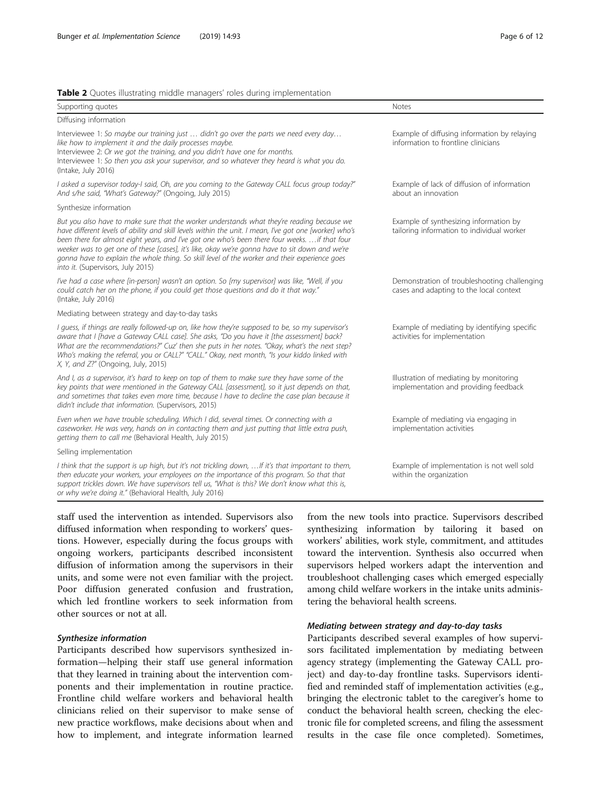#### <span id="page-7-0"></span>Table 2 Quotes illustrating middle managers' roles during implementation

| gabtes mashamig milaale managers Toles daling implementation                                                                                                                                                                                                                                                                                                                                                                                                                                                                                   |                                                                                         |  |  |  |
|------------------------------------------------------------------------------------------------------------------------------------------------------------------------------------------------------------------------------------------------------------------------------------------------------------------------------------------------------------------------------------------------------------------------------------------------------------------------------------------------------------------------------------------------|-----------------------------------------------------------------------------------------|--|--|--|
| Supporting quotes                                                                                                                                                                                                                                                                                                                                                                                                                                                                                                                              | <b>Notes</b>                                                                            |  |  |  |
| Diffusing information                                                                                                                                                                                                                                                                                                                                                                                                                                                                                                                          |                                                                                         |  |  |  |
| Interviewee 1: So maybe our training just  didn't go over the parts we need every day<br>like how to implement it and the daily processes maybe.<br>Interviewee 2: Or we got the training, and you didn't have one for months.<br>Interviewee 1: So then you ask your supervisor, and so whatever they heard is what you do.<br>(Intake, July 2016)                                                                                                                                                                                            | Example of diffusing information by relaying<br>information to frontline clinicians     |  |  |  |
| I asked a supervisor today-I said, Oh, are you coming to the Gateway CALL focus group today?"<br>And s/he said, "What's Gateway?" (Ongoing, July 2015)                                                                                                                                                                                                                                                                                                                                                                                         | Example of lack of diffusion of information<br>about an innovation                      |  |  |  |
| Synthesize information                                                                                                                                                                                                                                                                                                                                                                                                                                                                                                                         |                                                                                         |  |  |  |
| But you also have to make sure that the worker understands what they're reading because we<br>have different levels of ability and skill levels within the unit. I mean, I've got one [worker] who's<br>been there for almost eight years, and I've got one who's been there four weeks.  if that four<br>weeker was to get one of these [cases], it's like, okay we're gonna have to sit down and we're<br>gonna have to explain the whole thing. So skill level of the worker and their experience goes<br>into it. (Supervisors, July 2015) | Example of synthesizing information by<br>tailoring information to individual worker    |  |  |  |
| I've had a case where [in-person] wasn't an option. So [my supervisor] was like, "Well, if you<br>could catch her on the phone, if you could get those questions and do it that way."<br>(Intake, July 2016)                                                                                                                                                                                                                                                                                                                                   | Demonstration of troubleshooting challenging<br>cases and adapting to the local context |  |  |  |
| Mediating between strategy and day-to-day tasks                                                                                                                                                                                                                                                                                                                                                                                                                                                                                                |                                                                                         |  |  |  |
| I quess, if things are really followed-up on, like how they're supposed to be, so my supervisor's<br>aware that I [have a Gateway CALL case]. She asks, "Do you have it [the assessment] back?<br>What are the recommendations?" Cuz' then she puts in her notes. "Okay, what's the next step?<br>Who's making the referral, you or CALL?" "CALL." Okay, next month, "Is your kiddo linked with<br>X, Y, and Z?" (Ongoing, July, 2015)                                                                                                         | Example of mediating by identifying specific<br>activities for implementation           |  |  |  |
| And I, as a supervisor, it's hard to keep on top of them to make sure they have some of the<br>key points that were mentioned in the Gateway CALL [assessment], so it just depends on that,<br>and sometimes that takes even more time, because I have to decline the case plan because it<br>didn't include that information. (Supervisors, 2015).                                                                                                                                                                                            | Illustration of mediating by monitoring<br>implementation and providing feedback        |  |  |  |
| Even when we have trouble scheduling. Which I did, several times. Or connecting with a<br>caseworker. He was very, hands on in contacting them and just putting that little extra push,<br>getting them to call me (Behavioral Health, July 2015)                                                                                                                                                                                                                                                                                              | Example of mediating via engaging in<br>implementation activities                       |  |  |  |
| Selling implementation                                                                                                                                                                                                                                                                                                                                                                                                                                                                                                                         |                                                                                         |  |  |  |
| I think that the support is up high, but it's not trickling down,  If it's that important to them,<br>then educate your workers, your employees on the importance of this program. So that that<br>support trickles down. We have supervisors tell us, "What is this? We don't know what this is,<br>or why we're doing it." (Behavioral Health, July 2016)                                                                                                                                                                                    | Example of implementation is not well sold<br>within the organization                   |  |  |  |

staff used the intervention as intended. Supervisors also diffused information when responding to workers' questions. However, especially during the focus groups with ongoing workers, participants described inconsistent diffusion of information among the supervisors in their units, and some were not even familiar with the project. Poor diffusion generated confusion and frustration, which led frontline workers to seek information from other sources or not at all.

#### Synthesize information

Participants described how supervisors synthesized information—helping their staff use general information that they learned in training about the intervention components and their implementation in routine practice. Frontline child welfare workers and behavioral health clinicians relied on their supervisor to make sense of new practice workflows, make decisions about when and how to implement, and integrate information learned

from the new tools into practice. Supervisors described synthesizing information by tailoring it based on workers' abilities, work style, commitment, and attitudes toward the intervention. Synthesis also occurred when supervisors helped workers adapt the intervention and troubleshoot challenging cases which emerged especially among child welfare workers in the intake units administering the behavioral health screens.

#### Mediating between strategy and day-to-day tasks

Participants described several examples of how supervisors facilitated implementation by mediating between agency strategy (implementing the Gateway CALL project) and day-to-day frontline tasks. Supervisors identified and reminded staff of implementation activities (e.g., bringing the electronic tablet to the caregiver's home to conduct the behavioral health screen, checking the electronic file for completed screens, and filing the assessment results in the case file once completed). Sometimes,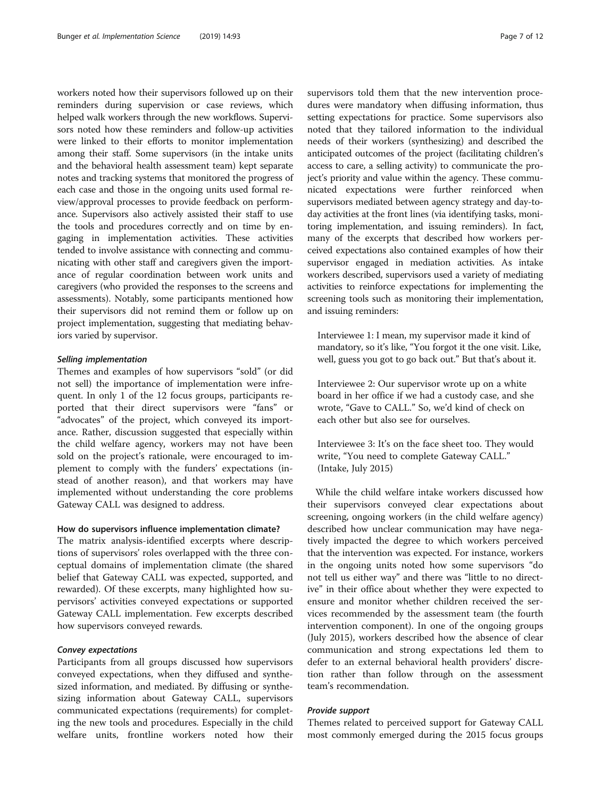workers noted how their supervisors followed up on their reminders during supervision or case reviews, which helped walk workers through the new workflows. Supervisors noted how these reminders and follow-up activities were linked to their efforts to monitor implementation among their staff. Some supervisors (in the intake units and the behavioral health assessment team) kept separate notes and tracking systems that monitored the progress of each case and those in the ongoing units used formal review/approval processes to provide feedback on performance. Supervisors also actively assisted their staff to use the tools and procedures correctly and on time by engaging in implementation activities. These activities tended to involve assistance with connecting and communicating with other staff and caregivers given the importance of regular coordination between work units and caregivers (who provided the responses to the screens and assessments). Notably, some participants mentioned how their supervisors did not remind them or follow up on project implementation, suggesting that mediating behaviors varied by supervisor.

#### Selling implementation

Themes and examples of how supervisors "sold" (or did not sell) the importance of implementation were infrequent. In only 1 of the 12 focus groups, participants reported that their direct supervisors were "fans" or "advocates" of the project, which conveyed its importance. Rather, discussion suggested that especially within the child welfare agency, workers may not have been sold on the project's rationale, were encouraged to implement to comply with the funders' expectations (instead of another reason), and that workers may have implemented without understanding the core problems Gateway CALL was designed to address.

#### How do supervisors influence implementation climate?

The matrix analysis-identified excerpts where descriptions of supervisors' roles overlapped with the three conceptual domains of implementation climate (the shared belief that Gateway CALL was expected, supported, and rewarded). Of these excerpts, many highlighted how supervisors' activities conveyed expectations or supported Gateway CALL implementation. Few excerpts described how supervisors conveyed rewards.

#### Convey expectations

Participants from all groups discussed how supervisors conveyed expectations, when they diffused and synthesized information, and mediated. By diffusing or synthesizing information about Gateway CALL, supervisors communicated expectations (requirements) for completing the new tools and procedures. Especially in the child welfare units, frontline workers noted how their supervisors told them that the new intervention procedures were mandatory when diffusing information, thus setting expectations for practice. Some supervisors also noted that they tailored information to the individual needs of their workers (synthesizing) and described the anticipated outcomes of the project (facilitating children's access to care, a selling activity) to communicate the project's priority and value within the agency. These communicated expectations were further reinforced when supervisors mediated between agency strategy and day-today activities at the front lines (via identifying tasks, monitoring implementation, and issuing reminders). In fact, many of the excerpts that described how workers perceived expectations also contained examples of how their supervisor engaged in mediation activities. As intake workers described, supervisors used a variety of mediating activities to reinforce expectations for implementing the screening tools such as monitoring their implementation, and issuing reminders:

Interviewee 1: I mean, my supervisor made it kind of mandatory, so it's like, "You forgot it the one visit. Like, well, guess you got to go back out." But that's about it.

Interviewee 2: Our supervisor wrote up on a white board in her office if we had a custody case, and she wrote, "Gave to CALL." So, we'd kind of check on each other but also see for ourselves.

Interviewee 3: It's on the face sheet too. They would write, "You need to complete Gateway CALL." (Intake, July 2015)

While the child welfare intake workers discussed how their supervisors conveyed clear expectations about screening, ongoing workers (in the child welfare agency) described how unclear communication may have negatively impacted the degree to which workers perceived that the intervention was expected. For instance, workers in the ongoing units noted how some supervisors "do not tell us either way" and there was "little to no directive" in their office about whether they were expected to ensure and monitor whether children received the services recommended by the assessment team (the fourth intervention component). In one of the ongoing groups (July 2015), workers described how the absence of clear communication and strong expectations led them to defer to an external behavioral health providers' discretion rather than follow through on the assessment team's recommendation.

#### Provide support

Themes related to perceived support for Gateway CALL most commonly emerged during the 2015 focus groups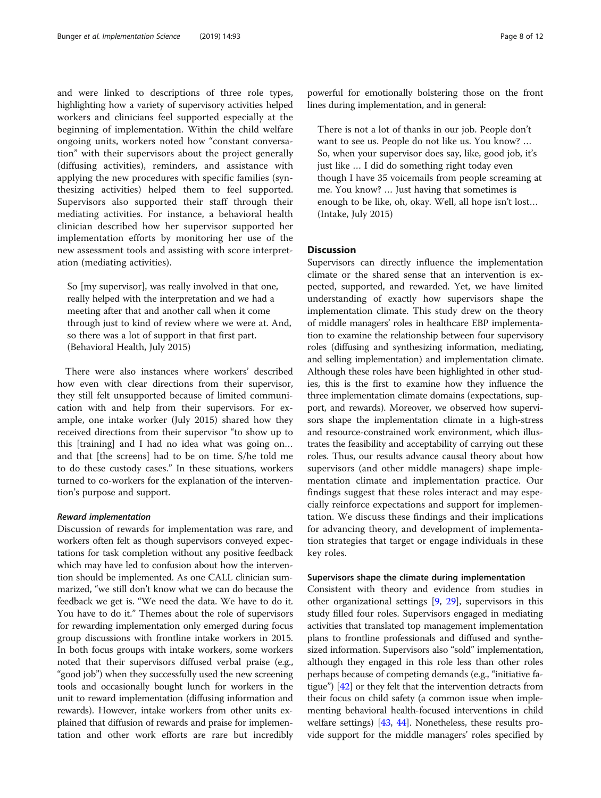and were linked to descriptions of three role types, highlighting how a variety of supervisory activities helped workers and clinicians feel supported especially at the beginning of implementation. Within the child welfare ongoing units, workers noted how "constant conversation" with their supervisors about the project generally (diffusing activities), reminders, and assistance with applying the new procedures with specific families (synthesizing activities) helped them to feel supported. Supervisors also supported their staff through their mediating activities. For instance, a behavioral health clinician described how her supervisor supported her implementation efforts by monitoring her use of the new assessment tools and assisting with score interpretation (mediating activities).

So [my supervisor], was really involved in that one, really helped with the interpretation and we had a meeting after that and another call when it come through just to kind of review where we were at. And, so there was a lot of support in that first part. (Behavioral Health, July 2015)

There were also instances where workers' described how even with clear directions from their supervisor, they still felt unsupported because of limited communication with and help from their supervisors. For example, one intake worker (July 2015) shared how they received directions from their supervisor "to show up to this [training] and I had no idea what was going on… and that [the screens] had to be on time. S/he told me to do these custody cases." In these situations, workers turned to co-workers for the explanation of the intervention's purpose and support.

#### Reward implementation

Discussion of rewards for implementation was rare, and workers often felt as though supervisors conveyed expectations for task completion without any positive feedback which may have led to confusion about how the intervention should be implemented. As one CALL clinician summarized, "we still don't know what we can do because the feedback we get is. "We need the data. We have to do it. You have to do it." Themes about the role of supervisors for rewarding implementation only emerged during focus group discussions with frontline intake workers in 2015. In both focus groups with intake workers, some workers noted that their supervisors diffused verbal praise (e.g., "good job") when they successfully used the new screening tools and occasionally bought lunch for workers in the unit to reward implementation (diffusing information and rewards). However, intake workers from other units explained that diffusion of rewards and praise for implementation and other work efforts are rare but incredibly

powerful for emotionally bolstering those on the front lines during implementation, and in general:

There is not a lot of thanks in our job. People don't want to see us. People do not like us. You know? … So, when your supervisor does say, like, good job, it's just like … I did do something right today even though I have 35 voicemails from people screaming at me. You know? … Just having that sometimes is enough to be like, oh, okay. Well, all hope isn't lost… (Intake, July 2015)

#### **Discussion**

Supervisors can directly influence the implementation climate or the shared sense that an intervention is expected, supported, and rewarded. Yet, we have limited understanding of exactly how supervisors shape the implementation climate. This study drew on the theory of middle managers' roles in healthcare EBP implementation to examine the relationship between four supervisory roles (diffusing and synthesizing information, mediating, and selling implementation) and implementation climate. Although these roles have been highlighted in other studies, this is the first to examine how they influence the three implementation climate domains (expectations, support, and rewards). Moreover, we observed how supervisors shape the implementation climate in a high-stress and resource-constrained work environment, which illustrates the feasibility and acceptability of carrying out these roles. Thus, our results advance causal theory about how supervisors (and other middle managers) shape implementation climate and implementation practice. Our findings suggest that these roles interact and may especially reinforce expectations and support for implementation. We discuss these findings and their implications for advancing theory, and development of implementation strategies that target or engage individuals in these key roles.

#### Supervisors shape the climate during implementation

Consistent with theory and evidence from studies in other organizational settings [[9,](#page-12-0) [29](#page-12-0)], supervisors in this study filled four roles. Supervisors engaged in mediating activities that translated top management implementation plans to frontline professionals and diffused and synthesized information. Supervisors also "sold" implementation, although they engaged in this role less than other roles perhaps because of competing demands (e.g., "initiative fatigue") [[42\]](#page-13-0) or they felt that the intervention detracts from their focus on child safety (a common issue when implementing behavioral health-focused interventions in child welfare settings)  $[43, 44]$  $[43, 44]$  $[43, 44]$  $[43, 44]$ . Nonetheless, these results provide support for the middle managers' roles specified by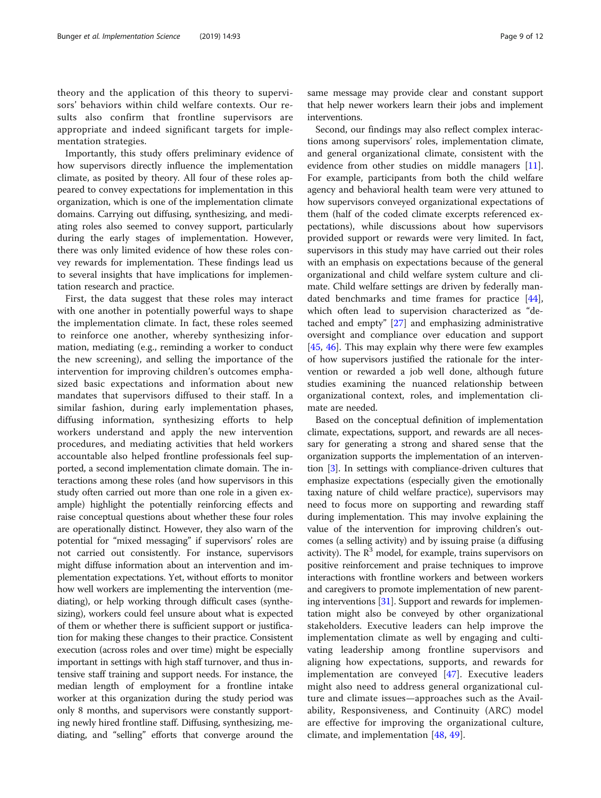theory and the application of this theory to supervisors' behaviors within child welfare contexts. Our results also confirm that frontline supervisors are appropriate and indeed significant targets for implementation strategies.

Importantly, this study offers preliminary evidence of how supervisors directly influence the implementation climate, as posited by theory. All four of these roles appeared to convey expectations for implementation in this organization, which is one of the implementation climate domains. Carrying out diffusing, synthesizing, and mediating roles also seemed to convey support, particularly during the early stages of implementation. However, there was only limited evidence of how these roles convey rewards for implementation. These findings lead us to several insights that have implications for implementation research and practice.

First, the data suggest that these roles may interact with one another in potentially powerful ways to shape the implementation climate. In fact, these roles seemed to reinforce one another, whereby synthesizing information, mediating (e.g., reminding a worker to conduct the new screening), and selling the importance of the intervention for improving children's outcomes emphasized basic expectations and information about new mandates that supervisors diffused to their staff. In a similar fashion, during early implementation phases, diffusing information, synthesizing efforts to help workers understand and apply the new intervention procedures, and mediating activities that held workers accountable also helped frontline professionals feel supported, a second implementation climate domain. The interactions among these roles (and how supervisors in this study often carried out more than one role in a given example) highlight the potentially reinforcing effects and raise conceptual questions about whether these four roles are operationally distinct. However, they also warn of the potential for "mixed messaging" if supervisors' roles are not carried out consistently. For instance, supervisors might diffuse information about an intervention and implementation expectations. Yet, without efforts to monitor how well workers are implementing the intervention (mediating), or help working through difficult cases (synthesizing), workers could feel unsure about what is expected of them or whether there is sufficient support or justification for making these changes to their practice. Consistent execution (across roles and over time) might be especially important in settings with high staff turnover, and thus intensive staff training and support needs. For instance, the median length of employment for a frontline intake worker at this organization during the study period was only 8 months, and supervisors were constantly supporting newly hired frontline staff. Diffusing, synthesizing, mediating, and "selling" efforts that converge around the same message may provide clear and constant support that help newer workers learn their jobs and implement interventions.

Second, our findings may also reflect complex interactions among supervisors' roles, implementation climate, and general organizational climate, consistent with the evidence from other studies on middle managers [\[11](#page-12-0)]. For example, participants from both the child welfare agency and behavioral health team were very attuned to how supervisors conveyed organizational expectations of them (half of the coded climate excerpts referenced expectations), while discussions about how supervisors provided support or rewards were very limited. In fact, supervisors in this study may have carried out their roles with an emphasis on expectations because of the general organizational and child welfare system culture and climate. Child welfare settings are driven by federally mandated benchmarks and time frames for practice [\[44](#page-13-0)], which often lead to supervision characterized as "detached and empty" [\[27](#page-12-0)] and emphasizing administrative oversight and compliance over education and support [[45,](#page-13-0) [46](#page-13-0)]. This may explain why there were few examples of how supervisors justified the rationale for the intervention or rewarded a job well done, although future studies examining the nuanced relationship between organizational context, roles, and implementation climate are needed.

Based on the conceptual definition of implementation climate, expectations, support, and rewards are all necessary for generating a strong and shared sense that the organization supports the implementation of an intervention [\[3](#page-12-0)]. In settings with compliance-driven cultures that emphasize expectations (especially given the emotionally taxing nature of child welfare practice), supervisors may need to focus more on supporting and rewarding staff during implementation. This may involve explaining the value of the intervention for improving children's outcomes (a selling activity) and by issuing praise (a diffusing activity). The  $R<sup>3</sup>$  model, for example, trains supervisors on positive reinforcement and praise techniques to improve interactions with frontline workers and between workers and caregivers to promote implementation of new parenting interventions [[31](#page-12-0)]. Support and rewards for implementation might also be conveyed by other organizational stakeholders. Executive leaders can help improve the implementation climate as well by engaging and cultivating leadership among frontline supervisors and aligning how expectations, supports, and rewards for implementation are conveyed [[47\]](#page-13-0). Executive leaders might also need to address general organizational culture and climate issues—approaches such as the Availability, Responsiveness, and Continuity (ARC) model are effective for improving the organizational culture, climate, and implementation [[48,](#page-13-0) [49\]](#page-13-0).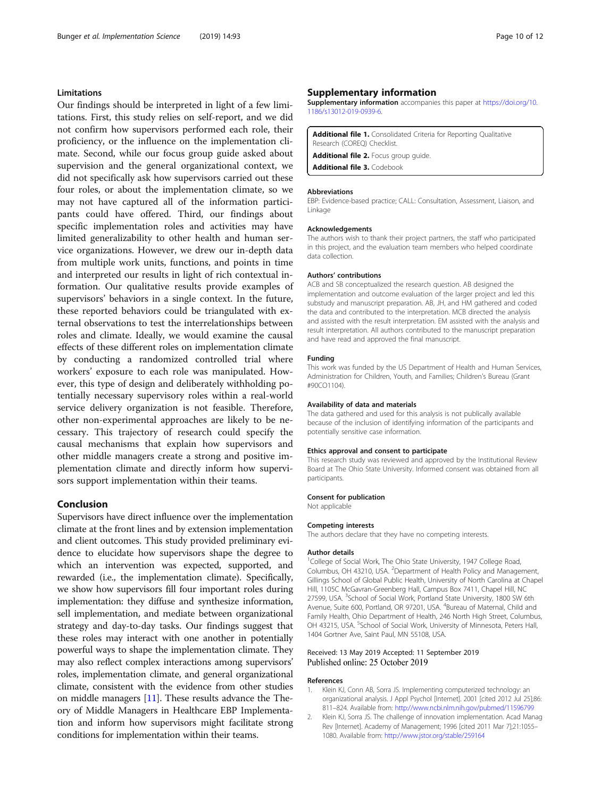#### <span id="page-11-0"></span>Limitations

Our findings should be interpreted in light of a few limitations. First, this study relies on self-report, and we did not confirm how supervisors performed each role, their proficiency, or the influence on the implementation climate. Second, while our focus group guide asked about supervision and the general organizational context, we did not specifically ask how supervisors carried out these four roles, or about the implementation climate, so we may not have captured all of the information participants could have offered. Third, our findings about specific implementation roles and activities may have limited generalizability to other health and human service organizations. However, we drew our in-depth data from multiple work units, functions, and points in time and interpreted our results in light of rich contextual information. Our qualitative results provide examples of supervisors' behaviors in a single context. In the future, these reported behaviors could be triangulated with external observations to test the interrelationships between roles and climate. Ideally, we would examine the causal effects of these different roles on implementation climate by conducting a randomized controlled trial where workers' exposure to each role was manipulated. However, this type of design and deliberately withholding potentially necessary supervisory roles within a real-world service delivery organization is not feasible. Therefore, other non-experimental approaches are likely to be necessary. This trajectory of research could specify the causal mechanisms that explain how supervisors and other middle managers create a strong and positive implementation climate and directly inform how supervisors support implementation within their teams.

#### Conclusion

Supervisors have direct influence over the implementation climate at the front lines and by extension implementation and client outcomes. This study provided preliminary evidence to elucidate how supervisors shape the degree to which an intervention was expected, supported, and rewarded (i.e., the implementation climate). Specifically, we show how supervisors fill four important roles during implementation: they diffuse and synthesize information, sell implementation, and mediate between organizational strategy and day-to-day tasks. Our findings suggest that these roles may interact with one another in potentially powerful ways to shape the implementation climate. They may also reflect complex interactions among supervisors' roles, implementation climate, and general organizational climate, consistent with the evidence from other studies on middle managers [[11](#page-12-0)]. These results advance the Theory of Middle Managers in Healthcare EBP Implementation and inform how supervisors might facilitate strong conditions for implementation within their teams.

#### Supplementary information

Supplementary information accompanies this paper at [https://doi.org/10.](https://doi.org/10.1186/s13012-019-0939-6) [1186/s13012-019-0939-6.](https://doi.org/10.1186/s13012-019-0939-6)

Additional file 1. Consolidated Criteria for Reporting Qualitative Research (COREQ) Checklist.

Additional file 2. Focus group guide.

Additional file 3. Codebook

#### Abbreviations

EBP: Evidence-based practice; CALL: Consultation, Assessment, Liaison, and Linkage

#### Acknowledgements

The authors wish to thank their project partners, the staff who participated in this project, and the evaluation team members who helped coordinate data collection.

#### Authors' contributions

ACB and SB conceptualized the research question. AB designed the implementation and outcome evaluation of the larger project and led this substudy and manuscript preparation. AB, JH, and HM gathered and coded the data and contributed to the interpretation. MCB directed the analysis and assisted with the result interpretation. EM assisted with the analysis and result interpretation. All authors contributed to the manuscript preparation and have read and approved the final manuscript.

#### Funding

This work was funded by the US Department of Health and Human Services, Administration for Children, Youth, and Families; Children's Bureau (Grant #90CO1104).

#### Availability of data and materials

The data gathered and used for this analysis is not publically available because of the inclusion of identifying information of the participants and potentially sensitive case information.

#### Ethics approval and consent to participate

This research study was reviewed and approved by the Institutional Review Board at The Ohio State University. Informed consent was obtained from all participants.

#### Consent for publication

Not applicable

#### Competing interests

The authors declare that they have no competing interests.

#### Author details

<sup>1</sup>College of Social Work, The Ohio State University, 1947 College Road Columbus, OH 43210, USA. <sup>2</sup>Department of Health Policy and Management Gillings School of Global Public Health, University of North Carolina at Chapel Hill, 1105C McGavran-Greenberg Hall, Campus Box 7411, Chapel Hill, NC 27599, USA. <sup>3</sup>School of Social Work, Portland State University, 1800 SW 6th Avenue, Suite 600, Portland, OR 97201, USA. <sup>4</sup>Bureau of Maternal, Child and Family Health, Ohio Department of Health, 246 North High Street, Columbus, OH 43215, USA. <sup>5</sup>School of Social Work, University of Minnesota, Peters Hall 1404 Gortner Ave, Saint Paul, MN 55108, USA.

#### Received: 13 May 2019 Accepted: 11 September 2019 Published online: 25 October 2019

#### References

- Klein KJ, Conn AB, Sorra JS. Implementing computerized technology: an organizational analysis. J Appl Psychol [Internet]. 2001 [cited 2012 Jul 25];86: 811–824. Available from: <http://www.ncbi.nlm.nih.gov/pubmed/11596799>
- 2. Klein KJ, Sorra JS. The challenge of innovation implementation. Acad Manag Rev [Internet]. Academy of Management; 1996 [cited 2011 Mar 7];21:1055– 1080. Available from: <http://www.jstor.org/stable/259164>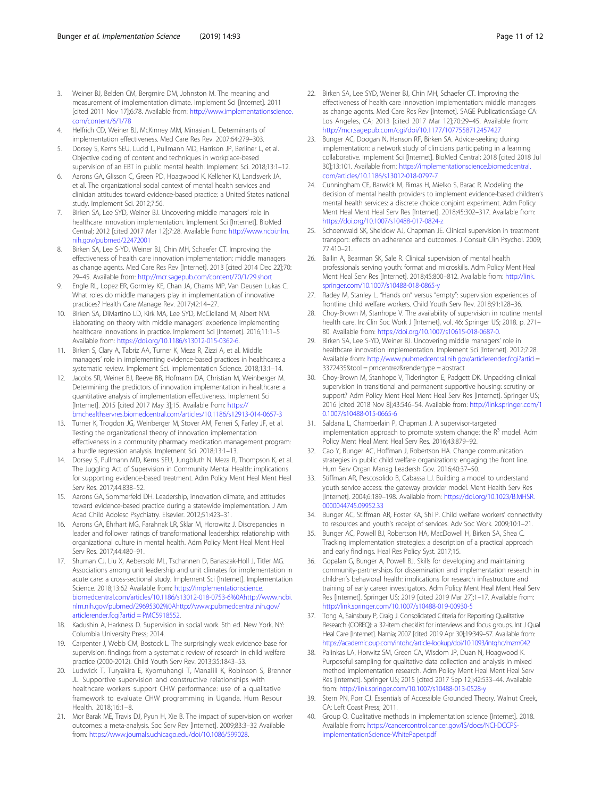- <span id="page-12-0"></span>4. Helfrich CD, Weiner BJ, McKinney MM, Minasian L. Determinants of implementation effectiveness. Med Care Res Rev. 2007;64:279–303.
- 5. Dorsey S, Kerns SEU, Lucid L, Pullmann MD, Harrison JP, Berliner L, et al. Objective coding of content and techniques in workplace-based supervision of an EBT in public mental health. Implement Sci. 2018;13:1–12.
- 6. Aarons GA, Glisson C, Green PD, Hoagwood K, Kelleher KJ, Landsverk JA, et al. The organizational social context of mental health services and clinician attitudes toward evidence-based practice: a United States national study. Implement Sci. 2012;7:56.
- 7. Birken SA, Lee SYD, Weiner BJ. Uncovering middle managers' role in healthcare innovation implementation. Implement Sci [Internet]. BioMed Central; 2012 [cited 2017 Mar 12];7:28. Available from: [http://www.ncbi.nlm.](http://www.ncbi.nlm.nih.gov/pubmed/22472001) [nih.gov/pubmed/22472001](http://www.ncbi.nlm.nih.gov/pubmed/22472001)
- Birken SA, Lee S-YD, Weiner BJ, Chin MH, Schaefer CT. Improving the effectiveness of health care innovation implementation: middle managers as change agents. Med Care Res Rev [Internet]. 2013 [cited 2014 Dec 22];70: 29–45. Available from: <http://mcr.sagepub.com/content/70/1/29.short>
- 9. Engle RL, Lopez ER, Gormley KE, Chan JA, Charns MP, Van Deusen Lukas C. What roles do middle managers play in implementation of innovative practices? Health Care Manage Rev. 2017;42:14–27.
- Birken SA, DiMartino LD, Kirk MA, Lee SYD, McClelland M, Albert NM. Elaborating on theory with middle managers' experience implementing healthcare innovations in practice. Implement Sci [Internet]. 2016;11:1–5 Available from: [https://doi.org/10.1186/s13012-015-0362-6.](https://doi.org/10.1186/s13012-015-0362-6)
- 11. Birken S, Clary A, Tabriz AA, Turner K, Meza R, Zizzi A, et al. Middle managers' role in implementing evidence-based practices in healthcare: a systematic review. Implement Sci. Implementation Science. 2018;13:1–14.
- 12. Jacobs SR, Weiner BJ, Reeve BB, Hofmann DA, Christian M, Weinberger M. Determining the predictors of innovation implementation in healthcare: a quantitative analysis of implementation effectiveness. Implement Sci [Internet]. 2015 [cited 2017 May 3];15. Available from: [https://](https://bmchealthservres.biomedcentral.com/articles/10.1186/s12913-014-0657-3) [bmchealthservres.biomedcentral.com/articles/10.1186/s12913-014-0657-3](https://bmchealthservres.biomedcentral.com/articles/10.1186/s12913-014-0657-3)
- 13. Turner K, Trogdon JG, Weinberger M, Stover AM, Ferreri S, Farley JF, et al. Testing the organizational theory of innovation implementation effectiveness in a community pharmacy medication management program: a hurdle regression analysis. Implement Sci. 2018;13:1–13.
- 14. Dorsey S, Pullmann MD, Kerns SEU, Jungbluth N, Meza R, Thompson K, et al. The Juggling Act of Supervision in Community Mental Health: implications for supporting evidence-based treatment. Adm Policy Ment Heal Ment Heal Serv Res. 2017;44:838–52.
- 15. Aarons GA, Sommerfeld DH. Leadership, innovation climate, and attitudes toward evidence-based practice during a statewide implementation. J Am Acad Child Adolesc Psychiatry. Elsevier. 2012;51:423–31.
- 16. Aarons GA, Ehrhart MG, Farahnak LR, Sklar M, Horowitz J. Discrepancies in leader and follower ratings of transformational leadership: relationship with organizational culture in mental health. Adm Policy Ment Heal Ment Heal Serv Res. 2017;44:480–91.
- 17. Shuman CJ, Liu X, Aebersold ML, Tschannen D, Banaszak-Holl J, Titler MG. Associations among unit leadership and unit climates for implementation in acute care: a cross-sectional study. Implement Sci [Internet]. Implementation Science. 2018;13:62 Available from: [https://implementationscience.](https://doi.org/https://implementationscience.biomedcentral.com/articles/10.1186/s13012-018-0753-6%0Ahttp://www.ncbi.nlm.nih.gov/pubmed/29695302%0Ahttp://www.pubmedcentral.nih.gov/articlerender.fcgi?artid%E2%80%89=%E2%80%89PMC5918552) [biomedcentral.com/articles/10.1186/s13012-018-0753-6%0Ahttp://www.ncbi.](https://doi.org/https://implementationscience.biomedcentral.com/articles/10.1186/s13012-018-0753-6%0Ahttp://www.ncbi.nlm.nih.gov/pubmed/29695302%0Ahttp://www.pubmedcentral.nih.gov/articlerender.fcgi?artid%E2%80%89=%E2%80%89PMC5918552) [nlm.nih.gov/pubmed/29695302%0Ahttp://www.pubmedcentral.nih.gov/](https://doi.org/https://implementationscience.biomedcentral.com/articles/10.1186/s13012-018-0753-6%0Ahttp://www.ncbi.nlm.nih.gov/pubmed/29695302%0Ahttp://www.pubmedcentral.nih.gov/articlerender.fcgi?artid%E2%80%89=%E2%80%89PMC5918552) [articlerender.fcgi?artid = PMC5918552](https://doi.org/https://implementationscience.biomedcentral.com/articles/10.1186/s13012-018-0753-6%0Ahttp://www.ncbi.nlm.nih.gov/pubmed/29695302%0Ahttp://www.pubmedcentral.nih.gov/articlerender.fcgi?artid%E2%80%89=%E2%80%89PMC5918552).
- 18. Kadushin A, Harkness D. Supervision in social work. 5th ed. New York, NY: Columbia University Press; 2014.
- 19. Carpenter J, Webb CM, Bostock L. The surprisingly weak evidence base for supervision: findings from a systematic review of research in child welfare practice (2000-2012). Child Youth Serv Rev. 2013;35:1843–53.
- 20. Ludwick T, Turyakira E, Kyomuhangi T, Manalili K, Robinson S, Brenner JL. Supportive supervision and constructive relationships with healthcare workers support CHW performance: use of a qualitative framework to evaluate CHW programming in Uganda. Hum Resour Health. 2018;16:1–8.
- 21. Mor Barak ME, Travis DJ, Pyun H, Xie B. The impact of supervision on worker outcomes: a meta-analysis. Soc Serv Rev [Internet]. 2009;83:3–32 Available from: [https://www.journals.uchicago.edu/doi/10.1086/599028.](https://www.journals.uchicago.edu/doi/10.1086/599028)
- 22. Birken SA, Lee SYD, Weiner BJ, Chin MH, Schaefer CT. Improving the effectiveness of health care innovation implementation: middle managers as change agents. Med Care Res Rev [Internet]. SAGE PublicationsSage CA: Los Angeles, CA; 2013 [cited 2017 Mar 12];70:29–45. Available from: <http://mcr.sagepub.com/cgi/doi/10.1177/1077558712457427>
- 23. Bunger AC, Doogan N, Hanson RF, Birken SA. Advice-seeking during implementation: a network study of clinicians participating in a learning collaborative. Implement Sci [Internet]. BioMed Central; 2018 [cited 2018 Jul 30];13:101. Available from: [https://implementationscience.biomedcentral.](https://implementationscience.biomedcentral.com/articles/10.1186/s13012-018-0797-7) [com/articles/10.1186/s13012-018-0797-7](https://implementationscience.biomedcentral.com/articles/10.1186/s13012-018-0797-7)
- 24. Cunningham CE, Barwick M, Rimas H, Mielko S, Barac R. Modeling the decision of mental health providers to implement evidence-based children's mental health services: a discrete choice conjoint experiment. Adm Policy Ment Heal Ment Heal Serv Res [Internet]. 2018;45:302–317. Available from: <https://doi.org/10.1007/s10488-017-0824-z>
- 25. Schoenwald SK, Sheidow AJ, Chapman JE. Clinical supervision in treatment transport: effects on adherence and outcomes. J Consult Clin Psychol. 2009; 77:410–21.
- 26. Bailin A, Bearman SK, Sale R. Clinical supervision of mental health professionals serving youth: format and microskills. Adm Policy Ment Heal Ment Heal Serv Res [Internet]. 2018;45:800–812. Available from: [http://link.](http://link.springer.com/10.1007/s10488-018-0865-y) [springer.com/10.1007/s10488-018-0865-y](http://link.springer.com/10.1007/s10488-018-0865-y)
- 27. Radey M, Stanley L. "Hands on" versus "empty": supervision experiences of frontline child welfare workers. Child Youth Serv Rev. 2018;91:128–36.
- 28. Choy-Brown M, Stanhope V. The availability of supervision in routine mental health care. In: Clin Soc Work J [Internet], vol. 46: Springer US; 2018. p. 271– 80. Available from: [https://doi.org/10.1007/s10615-018-0687-0.](https://doi.org/10.1007/s10615-018-0687-0)
- 29. Birken SA, Lee S-YD, Weiner BJ. Uncovering middle managers' role in healthcare innovation implementation. Implement Sci [Internet]. 2012;7:28. Available from: <http://www.pubmedcentral.nih.gov/articlerender.fcgi?artid> = 3372435&tool = pmcentrez&rendertype = abstract
- 30. Choy-Brown M, Stanhope V, Tiderington E, Padgett DK. Unpacking clinical supervision in transitional and permanent supportive housing: scrutiny or support? Adm Policy Ment Heal Ment Heal Serv Res [Internet]. Springer US; 2016 [cited 2018 Nov 8];43:546–54. Available from: [http://link.springer.com/1](http://link.springer.com/10.1007/s10488-015-0665-6) [0.1007/s10488-015-0665-6](http://link.springer.com/10.1007/s10488-015-0665-6)
- 31. Saldana L, Chamberlain P, Chapman J. A supervisor-targeted implementation approach to promote system change: the  $R<sup>3</sup>$  model. Adm Policy Ment Heal Ment Heal Serv Res. 2016;43:879–92.
- 32. Cao Y, Bunger AC, Hoffman J, Robertson HA. Change communication strategies in public child welfare organizations: engaging the front line. Hum Serv Organ Manag Leadersh Gov. 2016;40:37–50.
- 33. Stiffman AR, Pescosolido B, Cabassa LJ. Building a model to understand youth service access: the gateway provider model. Ment Health Serv Res [Internet]. 2004;6:189–198. Available from: [https://doi.org/10.1023/B:MHSR.](https://doi.org/10.1023/B:MHSR.0000044745.09952.33) [0000044745.09952.33](https://doi.org/10.1023/B:MHSR.0000044745.09952.33)
- 34. Bunger AC, Stiffman AR, Foster KA, Shi P. Child welfare workers' connectivity to resources and youth's receipt of services. Adv Soc Work. 2009;10:1–21.
- 35. Bunger AC, Powell BJ, Robertson HA, MacDowell H, Birken SA, Shea C. Tracking implementation strategies: a description of a practical approach and early findings. Heal Res Policy Syst. 2017;15.
- Gopalan G, Bunger A, Powell BJ. Skills for developing and maintaining community-partnerships for dissemination and implementation research in children's behavioral health: implications for research infrastructure and training of early career investigators. Adm Policy Ment Heal Ment Heal Serv Res [Internet]. Springer US; 2019 [cited 2019 Mar 27];1-17. Available from: <http://link.springer.com/10.1007/s10488-019-00930-5>
- 37. Tong A, Sainsbury P, Craig J. Consolidated Criteria for Reporting Qualitative Research (COREQ): a 32-item checklist for interviews and focus groups. Int J Qual Heal Care [Internet]. Narnia; 2007 [cited 2019 Apr 30];19:349–57. Available from: <https://academic.oup.com/intqhc/article-lookup/doi/10.1093/intqhc/mzm042>
- 38. Palinkas LA, Horwitz SM, Green CA, Wisdom JP, Duan N, Hoagwood K. Purposeful sampling for qualitative data collection and analysis in mixed method implementation research. Adm Policy Ment Heal Ment Heal Serv Res [Internet]. Springer US; 2015 [cited 2017 Sep 12];42:533–44. Available from: <http://link.springer.com/10.1007/s10488-013-0528-y>
- 39. Stern PN, Porr CJ. Essentials of Accessible Grounded Theory. Walnut Creek, CA: Left Coast Press; 2011.
- 40. Group Q. Qualitative methods in implementation science [Internet]. 2018. Available from: [https://cancercontrol.cancer.gov/IS/docs/NCI-DCCPS-](https://cancercontrol.cancer.gov/IS/docs/NCI-DCCPS-ImplementationScience-WhitePaper.pdf)[ImplementationScience-WhitePaper.pdf](https://cancercontrol.cancer.gov/IS/docs/NCI-DCCPS-ImplementationScience-WhitePaper.pdf)